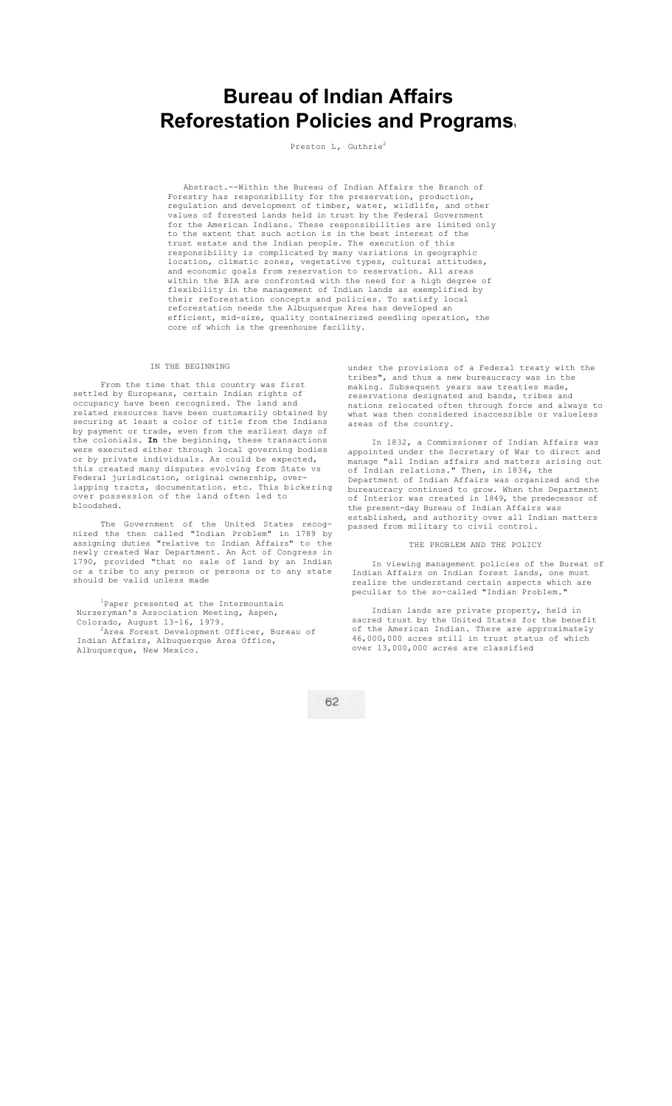# **Bureau of Indian Affairs Reforestation Policies and Programs.**

Preston L, Guthrie<sup>2</sup>

Abstract.--Within the Bureau of Indian Affairs the Branch of Forestry has responsibility for the preservation, production, regulation and development of timber, water, wildlife, and other values of forested lands held in trust by the Federal Government for the American Indians. These responsibilities are limited only to the extent that such action is in the best interest of the trust estate and the Indian people. The execution of this responsibility is complicated by many variations in geographic location, climatic zones, vegetative types, cultural attitudes, and economic goals from reservation to reservation. All areas within the BIA are confronted with the need for a high degree of flexibility in the management of Indian lands as exemplified by their reforestation concepts and policies. To satisfy local reforestation needs the Albuquerque Area has developed an efficient, mid-size, quality containerized seedling operation, the core of which is the greenhouse facility.

# IN THE BEGINNING

From the time that this country was first settled by Europeans, certain Indian rights of occupancy have been recognized. The land and related resources have been customarily obtained by securing at least a color of title from the Indians by payment or trade, even from the earliest days of the colonials. **In** the beginning, these transactions were executed either through local governing bodies or by private individuals. As could be expected, this created many disputes evolving from State vs Federal jurisdication, original ownership, overlapping tracts, documentation. etc. This bickering over possession of the land often led to bloodshed.

The Government of the United States recognized the then called "Indian Problem" in 1789 by assigning duties "relative to Indian Affairs" to the newly created War Department. An Act of Congress in 1790, provided "that no sale of land by an Indian or a tribe to any person or persons or to any state should be valid unless made

<sup>1</sup>Paper presented at the Intermountain Nurseryman's Association Meeting, Aspen, Colorado, August 13-16, 1979.<br><sup>2</sup>Area Forest Development Officer, Bureau of

Indian Affairs, Albuquerque Area Office, Albuquerque, New Mexico.

under the provisions of a Federal treaty with the tribes", and thus a new bureaucracy was in the making. Subsequent years saw treaties made, reservations designated and bands, tribes and nations relocated often through force and always to what was then considered inaccessible or valueless areas of the country.

In 1832, a Commissioner of Indian Affairs was appointed under the Secretary of War to direct and manage "all Indian affairs and matters arising out of Indian relations." Then, in 1834, the Department of Indian Affairs was organized and the bureaucracy continued to grow. When the Department of Interior was created in 1849, the predecessor of the present-day Bureau of Indian Affairs was established, and authority over all Indian matters passed from military to civil control.

### THE PROBLEM AND THE POLICY

In viewing management policies of the Bureat of Indian Affairs on Indian forest lands, one must realize the understand certain aspects which are peculiar to the so-called "Indian Problem."

Indian lands are private property, held in sacred trust by the United States for the benefit of the American Indian. There are approximately 46,000,000 acres still in trust status of which over 13,000,000 acres are classified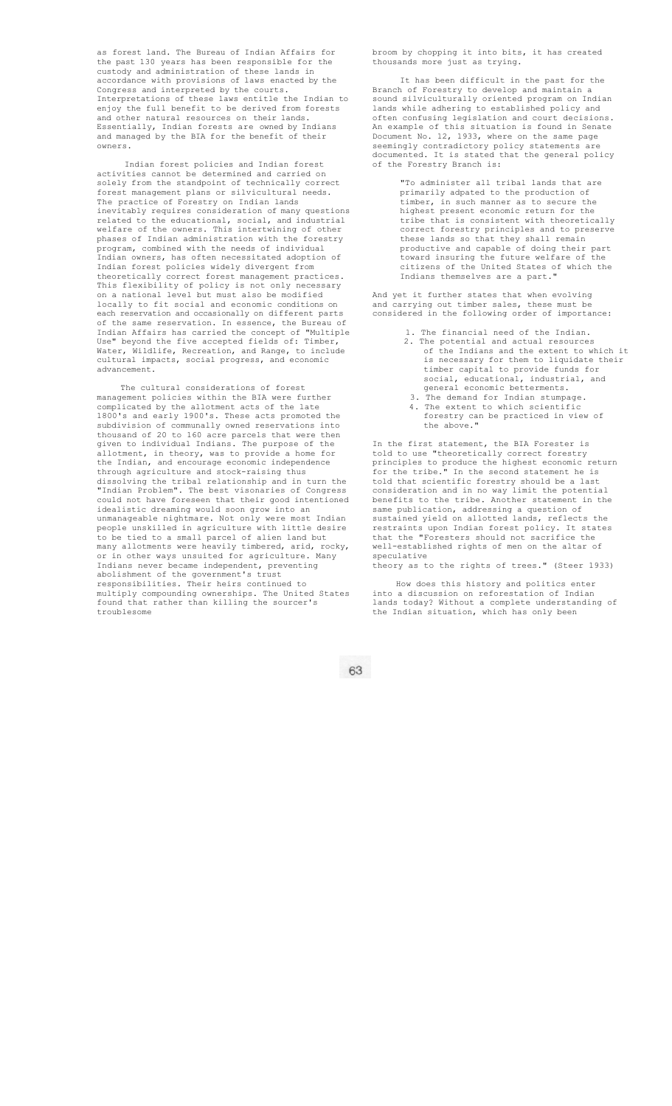as forest land. The Bureau of Indian Affairs for the past 130 years has been responsible for the custody and administration of these lands in accordance with provisions of laws enacted by the Congress and interpreted by the courts. Interpretations of these laws entitle the Indian to enjoy the full benefit to be derived from forests and other natural resources on their lands. Essentially, Indian forests are owned by Indians and managed by the BIA for the benefit of their owners.

Indian forest policies and Indian forest activities cannot be determined and carried on solely from the standpoint of technically correct forest management plans or silvicultural needs. The practice of Forestry on Indian lands inevitably requires consideration of many questions related to the educational, social, and industrial welfare of the owners. This intertwining of other phases of Indian administration with the forestry program, combined with the needs of individual Indian owners, has often necessitated adoption of Indian forest policies widely divergent from theoretically correct forest management practices. This flexibility of policy is not only necessary on a national level but must also be modified locally to fit social and economic conditions on each reservation and occasionally on different parts of the same reservation. In essence, the Bureau of Indian Affairs has carried the concept of "Multiple Use" beyond the five accepted fields of: Timber, Water, Wildlife, Recreation, and Range, to include cultural impacts, social progress, and economic advancement.

The cultural considerations of forest<br>rement policies within the BIA were further management policies within the BIA were further complicated by the allotment acts of the late 1800's and early 1900's. These acts promoted the subdivision of communally owned reservations into thousand of 20 to 160 acre parcels that were then given to individual Indians. The purpose of the allotment, in theory, was to provide a home for the Indian, and encourage economic independence through agriculture and stock-raising thus dissolving the tribal relationship and in turn the "Indian Problem". The best visonaries of Congress could not have foreseen that their good intentioned idealistic dreaming would soon grow into an unmanageable nightmare. Not only were most Indian people unskilled in agriculture with little desire to be tied to a small parcel of alien land but many allotments were heavily timbered, arid, rocky, or in other ways unsuited for agriculture. Many Indians never became independent, preventing abolishment of the government's trust responsibilities. Their heirs continued to multiply compounding ownerships. The United States found that rather than killing the sourcer's troublesome

broom by chopping it into bits, it has created thousands more just as trying.

It has been difficult in the past for the Branch of Forestry to develop and maintain a sound silviculturally oriented program on Indian lands while adhering to established policy and often confusing legislation and court decisions. An example of this situation is found in Senate Document No. 12, 1933, where on the same page seemingly contradictory policy statements are documented. It is stated that the general policy of the Forestry Branch is:

> "To administer all tribal lands that are primarily adpated to the production of timber, in such manner as to secure the highest present economic return for the tribe that is consistent with theoretically correct forestry principles and to preserve these lands so that they shall remain productive and capable of doing their part toward insuring the future welfare of citizens of the United States of which the Indians themselves are a part."

And yet it further states that when evolving and carrying out timber sales, these must be considered in the following order of importance:

- 1. The financial need of the Indian. 2. The potential and actual resources of the Indians and the extent to which it is necessary for them to liquidate their timber capital to provide funds for social, educational, industrial, and general economic betterments.
- 3. The demand for Indian stumpage. 4. The extent to which scientific forestry can be practiced in view of the above."

In the first statement, the BIA Forester is told to use "theoretically correct forestry principles to produce the highest economic return for the tribe." In the second statement he is told that scientific forestry should be a last consideration and in no way limit the potential benefits to the tribe. Another statement in the same publication, addressing a question of sustained yield on allotted lands, reflects the restraints upon Indian forest policy. It states that the "Foresters should not sacrifice the well-established rights of men on the altar of speculative

theory as to the rights of trees." (Steer 1933)

How does this history and politics enter into a discussion on reforestation of Indian lands today? Without a complete understanding of the Indian situation, which has only been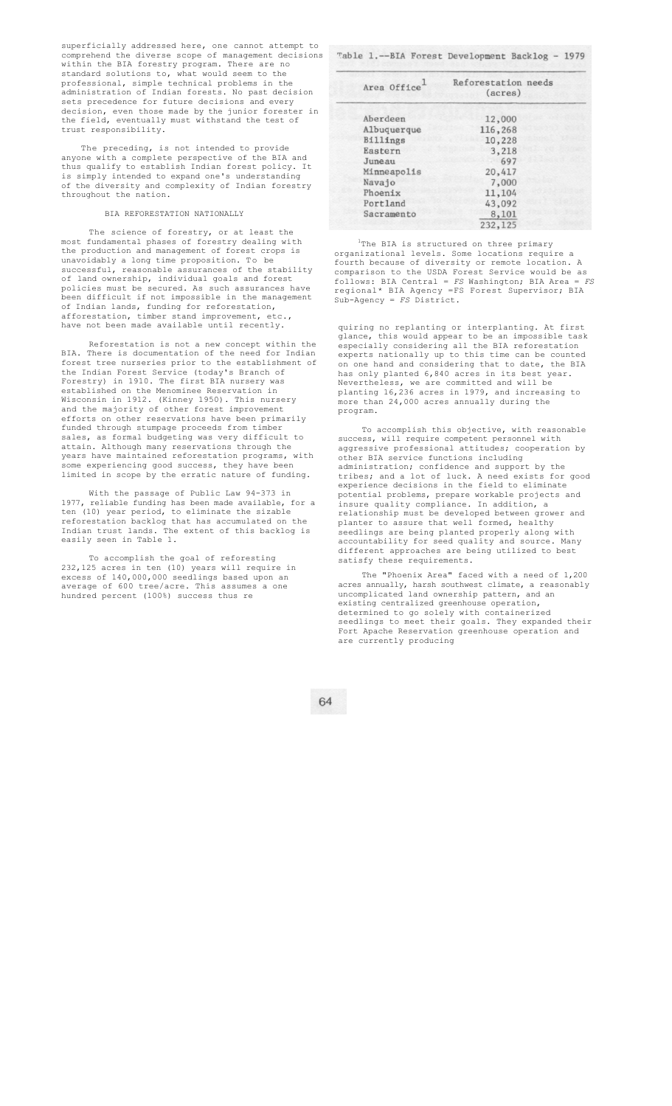superficially addressed here, one cannot attempt to comprehend the diverse scope of management decisions within the BIA forestry program. There are no standard solutions to, what would seem to the professional, simple technical problems in the administration of Indian forests. No past decision sets precedence for future decisions and every decision, even those made by the junior forester in the field, eventually must withstand the test of trust responsibility.

The preceding, is not intended to provide anyone with a complete perspective of the BIA and thus qualify to establish Indian forest policy. It is simply intended to expand one's understanding of the diversity and complexity of Indian forestry throughout the nation.

#### BIA REFORESTATION NATIONALLY

The science of forestry, or at least the most fundamental phases of forestry dealing with the production and management of forest crops is unavoidably a long time proposition. To be successful, reasonable assurances of the stability of land ownership, individual goals and forest policies must be secured. As such assurances have been difficult if not impossible in the management of Indian lands, funding for reforestation, afforestation, timber stand improvement, etc. have not been made available until recently.

Reforestation is not a new concept within the BIA. There is documentation of the need for Indian forest tree nurseries prior to the establishment of the Indian Forest Service (today's Branch of Forestry) in 1910. The first BIA nursery was established on the Menominee Reservation Wisconsin in 1912. (Kinney 1950). This nursery and the majority of other forest improvement efforts on other reservations have been primarily funded through stumpage proceeds from timber sales, as formal budgeting was very difficult to attain. Although many reservations through the years have maintained reforestation programs, with some experiencing good success, they have been limited in scope by the erratic nature of funding.

With the passage of Public Law 94-373 in 1977, reliable funding has been made available, for a ten (10) year period, to eliminate the sizable reforestation backlog that has accumulated on the Indian trust lands. The extent of this backlog is easily seen in Table 1.

To accomplish the goal of reforesting 232,125 acres in ten (10) years will require in excess of 140,000,000 seedlings based upon an average of 600 tree/acre. This assumes a one hundred percent (100%) success thus re

Table 1.--BIA Forest Development Backlog - 1979

| Area Office | Reforestation needs<br>(acres) |
|-------------|--------------------------------|
| Aberdeen    | 12,000                         |
| Albuquerque | 116,268                        |
| Billings    | 10,228                         |
| Eastern     | 3,218                          |
| Juneau      | 697                            |
| Minneapolis | 20,417                         |
| Navajo      | 7,000                          |
| Phoenix     | 11,104                         |
| Portland    | 43,092                         |
| Sacramento  | 8,101                          |
|             | 232,125                        |

<sup>1</sup>The BIA is structured on three primary organizational levels. Some locations require a fourth because of diversity or remote location. A comparison to the USDA Forest Service would be as follows: BIA Central = *FS* Washington; BIA Area = *FS*  regional\* BIA Agency =FS Forest Supervisor; BIA Sub-Agency = *FS* District.

quiring no replanting or interplanting. At first glance, this would appear to be an impossible task especially considering all the BIA reforestation experts nationally up to this time can be counted on one hand and considering that to date, the BIA has only planted 6,840 acres in its best year. Nevertheless, we are committed and will be planting 16,236 acres in 1979, and increasing to more than 24,000 acres annually during the program.

To accomplish this objective, with reasonable success, will require competent personnel with aggressive professional attitudes; cooperation by other BIA service functions including administration; confidence and support by the tribes; and a lot of luck. A need exists for good experience decisions in the field to eliminate potential problems, prepare workable projects and insure quality compliance. In addition, a relationship must be developed between grower and planter to assure that well formed, healthy seedlings are being planted properly along with accountability for seed quality and source. Many different approaches are being utilized to best satisfy these requirements.

The "Phoenix Area" faced with a need of 1,200 acres annually, harsh southwest climate, a reasonably uncomplicated land ownership pattern, and an existing centralized greenhouse operation, determined to go solely with containerized seedlings to meet their goals. They expanded their Fort Apache Reservation greenhouse operation and are currently producing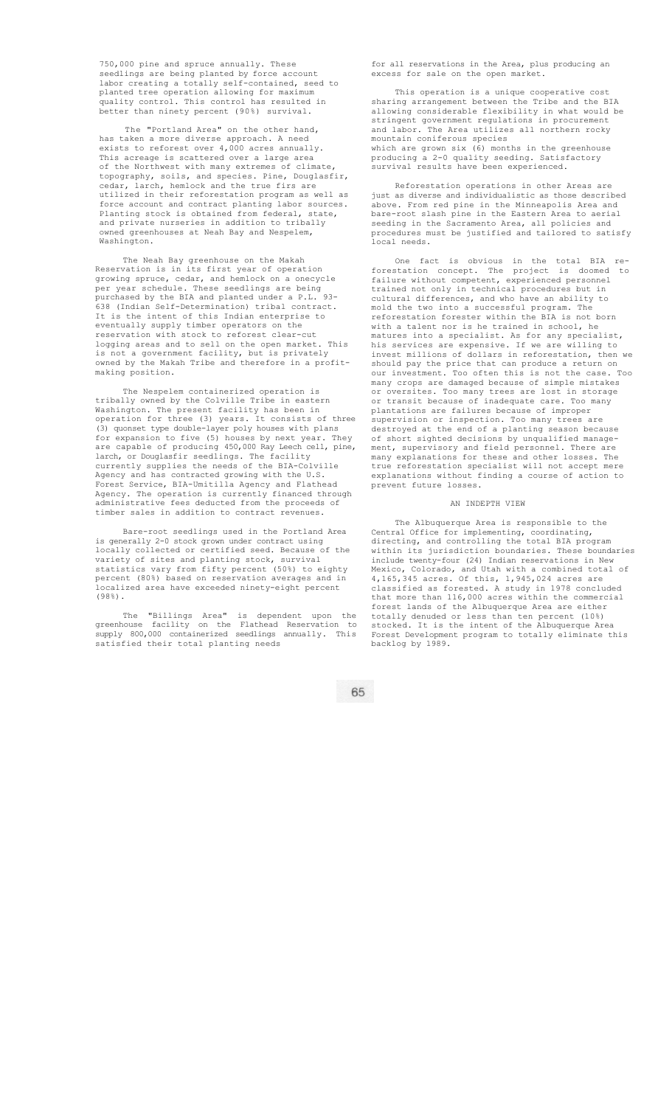750,000 pine and spruce annually. These seedlings are being planted by force account labor creating a totally self-contained, seed to planted tree operation allowing for maximum quality control. This control has resulted in better than ninety percent (90%) survival.

The "Portland Area" on the other hand, has taken a more diverse approach. A need exists to reforest over 4,000 acres annually. This acreage is scattered over a large area of the Northwest with many extremes of climate, topography, soils, and species. Pine, Douglasfir, cedar, larch, hemlock and the true firs are utilized in their reforestation program as well as force account and contract planting labor sources. Planting stock is obtained from federal, state, and private nurseries in addition to tribally owned greenhouses at Neah Bay and Nespelem, Washington.

The Neah Bay greenhouse on the Makah Reservation is in its first year of operation growing spruce, cedar, and hemlock on a onecycle per year schedule. These seedlings are being purchased by the BIA and planted under a P.L. 93- 638 (Indian Self-Determination) tribal contract. It is the intent of this Indian enterprise to eventually supply timber operators on the reservation with stock to reforest clear-cut logging areas and to sell on the open market. This is not a government facility, but is privately owned by the Makah Tribe and therefore in a profitmaking position.

The Nespelem containerized operation is tribally owned by the Colville Tribe in eastern Washington. The present facility has been in operation for three (3) years. It consists of three (3) quonset type double-layer poly houses with plans<br>for expansion to five (5) houses by next year Thou for expansion to five (5) houses by next year. They are capable of producing 450,000 Ray Leech cell, pine, larch, or Douglasfir seedlings. The facility currently supplies the needs of the BIA-Colville Agency and has contracted growing with the U.S. Forest Service, BIA-Umitilla Agency and Flathead Agency. The operation is currently financed through administrative fees deducted from the proceeds of timber sales in addition to contract revenues.

Bare-root seedlings used in the Portland Area is generally 2-0 stock grown under contract using locally collected or certified seed. Because of the variety of sites and planting stock, survival statistics vary from fifty percent (50%) to eighty percent (80%) based on reservation averages and in localized area have exceeded ninety-eight percent (98%).

The "Billings Area" is dependent upon the greenhouse facility on the Flathead Reservation to supply 800,000 containerized seedlings annually. This satisfied their total planting needs

for all reservations in the Area, plus producing an excess for sale on the open market.

This operation is a unique cooperative cost sharing arrangement between the Tribe and the BIA allowing considerable flexibility in what would be stringent government regulations in procurement and labor. The Area utilizes all northern rocky mountain coniferous species which are grown six (6) months in the greenhouse producing a 2-0 quality seeding. Satisfactory survival results have been experienced.

Reforestation operations in other Areas are just as diverse and individualistic as those described above. From red pine in the Minneapolis Area and bare-root slash pine in the Eastern Area to aerial seeding in the Sacramento Area, all policies and procedures must be justified and tailored to satisfy .<br>local needs

fact is obvious in the total BIA forestation concept. The project is doomed to failure without competent, experienced personnel trained not only in technical procedures but in cultural differences, and who have an ability to mold the two into a successful program. The reforestation forester within the BIA is not born with a talent nor is he trained in school, he matures into a specialist. As for any specialist, his services are expensive. If we are willing to invest millions of dollars in reforestation, then we should pay the price that can produce a return on our investment. Too often this is not the case. Too many crops are damaged because of simple mistakes or oversites. Too many trees are lost in storage or transit because of inadequate care. Too many plantations are failures because of improper supervision or inspection. Too many trees are destroyed at the end of a planting season because of short sighted decisions by unqualified management, supervisory and field personnel. There are many explanations for these and other losses. The true reforestation specialist will not accept mere explanations without finding a course of action to prevent future losses.

#### AN INDEPTH VIEW

The Albuquerque Area is responsible to the Central Office for implementing, coordinating, directing, and controlling the total BIA program within its jurisdiction boundaries. These boundaries include twenty-four (24) Indian reservations in New Mexico, Colorado, and Utah with a combined total of 4,165,345 acres. Of this, 1,945,024 acres are classified as forested. A study in 1978 concluded that more than 116,000 acres within the commercial forest lands of the Albuquerque Area are either totally denuded or less than ten percent (10%) stocked. It is the intent of the Albuquerque Area Forest Development program to totally eliminate this backlog by 1989.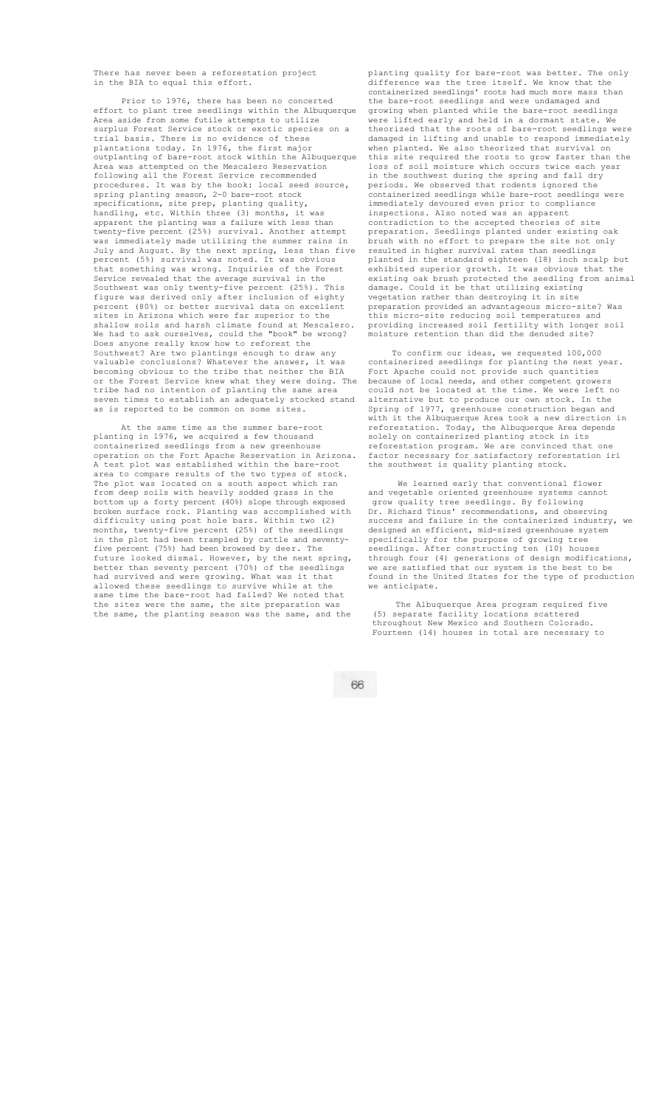There has never been a reforestation project in the BIA to equal this effort.

Prior to 1976, there has been no concerted effort to plant tree seedlings within the Albuquerque Area aside from some futile attempts to utilize surplus Forest Service stock or exotic species on a trial basis. There is no evidence of these plantations today. In 1976, the first major outplanting of bare-root stock within the Albuquerque Area was attempted on the Mescalero Reservation following all the Forest Service recommended procedures. It was by the book: local seed source, spring planting season, 2-0 bare-root stock specifications, site prep, planting quality, handling, etc. Within three (3) months, it was apparent the planting was a failure with less than twenty-five percent (25%) survival. Another attempt was immediately made utilizing the summer rains in July and August. By the next spring, less than five percent (5%) survival was noted. It was obvious that something was wrong. Inquiries of the Forest Service revealed that the average survival in the Southwest was only twenty-five percent  $(25\%)$ . figure was derived only after inclusion of eighty percent (80%) or better survival data on excellent sites in Arizona which were far superior to the shallow soils and harsh climate found at Mescalero. We had to ask ourselves, could the "book" be wrong? Does anyone really know how to reforest the Southwest? Are two plantings enough to draw any valuable conclusions? Whatever the answer, it was becoming obvious to the tribe that neither the BIA or the Forest Service knew what they were doing. The tribe had no intention of planting the same area seven times to establish an adequately stocked stand as is reported to be common on some sites.

At the same time as the summer bare-root planting in 1976, we acquired a few thousand containerized seedlings from a new greenhouse operation on the Fort Apache Reservation in Arizona. A test plot was established within the bare-root area to compare results of the two types of stock. The plot was located on a south aspect which ran from deep soils with heavily sodded grass in the bottom up a forty percent (40%) slope through exposed broken surface rock. Planting was accomplished with difficulty using post hole bars. Within two (2) months, twenty-five percent (25%) of the seedlings in the plot had been trampled by cattle and seventyfive percent (75%) had been browsed by deer. The future looked dismal. However, by the next spring, better than seventy percent (70%) of the seedlings had survived and were growing. What was it that allowed these seedlings to survive while at the same time the bare-root had failed? We noted that the sites were the same, the site preparation was the same, the planting season was the same, and the

planting quality for bare-root was better. The only difference was the tree itself. We know that the containerized seedlings' roots had much more mass than the bare-root seedlings and were undamaged and growing when planted while the bare-root seedlings were lifted early and held in a dormant state. We theorized that the roots of bare-root seedlings were damaged in lifting and unable to respond immediately when planted. We also theorized that survival on this site required the roots to grow faster than the loss of soil moisture which occurs twice each year in the southwest during the spring and fall dry periods. We observed that rodents ignored the containerized seedlings while bare-root seedlings were immediately devoured even prior to compliance inspections. Also noted was an apparent contradiction to the accepted theories of site preparation. Seedlings planted under existing oak brush with no effort to prepare the site not only resulted in higher survival rates than seedlings planted in the standard eighteen (18) inch scalp but exhibited superior growth. It was obvious that the existing oak brush protected the seedling from animal<br>damage. Could it be that utilizing existing Could it be that utilizing existing vegetation rather than destroying it in site preparation provided an advantageous micro-site? Was this micro-site reducing soil temperatures and providing increased soil fertility with longer soil moisture retention than did the denuded site?

To confirm our ideas, we requested 100,000 containerized seedlings for planting the next year. Fort Apache could not provide such quantities because of local needs, and other competent growers<br>could not be located at the time. We were left no could not be located at the time. We were alternative but to produce our own stock. In the Spring of 1977, greenhouse construction began and with it the Albuquerque Area took a new direction in reforestation. Today, the Albuquerque Area depends solely on containerized planting stock in its reforestation program. We are convinced that one factor necessary for satisfactory reforestation iri the southwest is quality planting stock.

We learned early that conventional flower and vegetable oriented greenhouse systems cannot grow quality tree seedlings. By following Dr. Richard Tinus' recommendations, and observing success and failure in the containerized industry, we designed an efficient, mid-sized greenhouse system specifically for the purpose of growing tree seedlings. After constructing ten (10) houses through four (4) generations of design modifications, we are satisfied that our system is the best to be found in the United States for the type of production we anticipate.

The Albuquerque Area program required five (5) separate facility locations scattered throughout New Mexico and Southern Colorado. Fourteen (14) houses in total are necessary to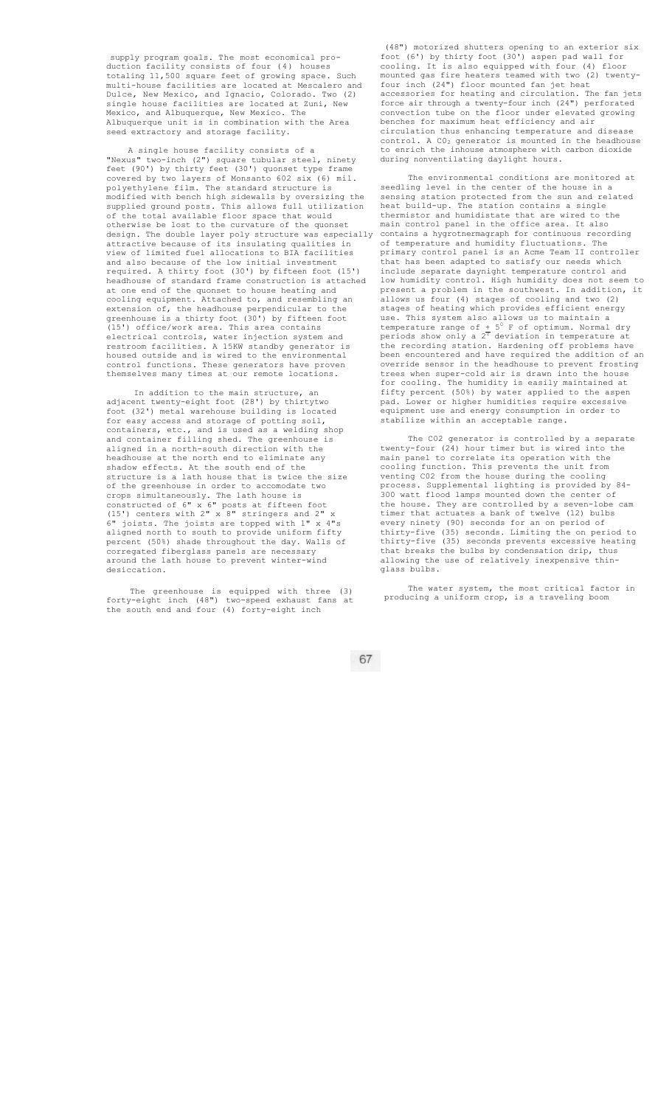supply program goals. The most economical production facility consists of four (4) houses totaling 11,500 square feet of growing space. Such multi-house facilities are located at Mescalero and Dulce, New Mexico, and Ignacio, Colorado. Two (2) single house facilities are located at Zuni, New Mexico, and Albuquerque, New Mexico. The Albuquerque unit is in combination with the Area seed extractory and storage facility.

A single house facility consists of a "Nexus" two-inch (2") square tubular steel, ninety feet (90') by thirty feet (30') quonset type covered by two layers of Monsanto 602 six (6) mil. polyethylene film. The standard structure is modified with bench high sidewalls by oversizing the supplied ground posts. This allows full utilization of the total available floor space that would otherwise be lost to the curvature of the quonset<br>design. The double layer poly structure was especially design. The double layer poly structure was especially attractive because of its insulating qualities in view of limited fuel allocations to BIA facilities and also because of the low initial investment required. A thirty foot (30') by fifteen foot (15') headhouse of standard frame construction is attached at one end of the quonset to house heating and cooling equipment. Attached to, and resembling an extension of, the headhouse perpendicular to greenhouse is a thirty foot (30') by fifteen foot (15') office/work area. This area contains electrical controls, water injection system and restroom facilities. A 15KW standby generator is housed outside and is wired to the environmental control functions. These generators have proven themselves many times at our remote locations.

In addition to the main structure, an adjacent twenty-eight foot (28') by thirtytwo foot (32') metal warehouse building is located for easy access and storage of potting soil, containers, etc., and is used as a welding shop and container filling shed. The greenhouse is aligned in a north-south direction with the headhouse at the north end to eliminate any shadow effects. At the south end of the structure is a lath house that is twice the size of the greenhouse in order to accomodate two crops simultaneously. The lath house is constructed of 6" x 6" posts at fifteen foot (15') centers with 2" x 8" stringers and 2" x 6" joists. The joists are topped with 1" x 4"s aligned north to south to provide uniform fifty percent (50%) shade throughout the day. Walls of corregated fiberglass panels are necessary around the lath house to prevent winter-wind desiccation.

The greenhouse is equipped with three (3) forty-eight inch (48") two-speed exhaust fans at the south end and four (4) forty-eight inch

(48") motorized shutters opening to an exterior six foot (6') by thirty foot (30') aspen pad wall for cooling. It is also equipped with four (4) floor mounted gas fire heaters teamed with two (2) twentyfour inch (24") floor mounted fan jet heat accessories for heating and circulation. The fan jets force air through a twenty-four inch (24") perforated convection tube on the floor under elevated growing benches for maximum heat efficiency and air circulation thus enhancing temperature and disease  $control. A CO<sub>2</sub> generator is mounted in the headhouse$ to enrich the inhouse atmosphere with carbon dioxide during nonventilating daylight hours.

The environmental conditions are monitored at seedling level in the center of the house in a sensing station protected from the sun and related heat build-up. The station contains a single thermistor and humidistate that are wired to the main control panel in the office area. It also contains a hygrotnermagraph for continuous recording of temperature and humidity fluctuations. The primary control panel is an Acme Team II controller that has been adapted to satisfy our needs which include separate daynight temperature control and low humidity control. High humidity does not seem to present a problem in the southwest. In addition, it allows us four (4) stages of cooling and two (2) stages of heating which provides efficient energy use. This system also allows us to maintain a temperature range of  $+5^0$  F of optimum. Normal dry periods show only a  $2^{\overline{0}}$  deviation in temperature at .<br>the recording station. Hardening off problems have been encountered and have required the addition of an override sensor in the headhouse to prevent frosting trees when super-cold air is drawn into the house for cooling. The humidity is easily maintained at fifty percent (50%) by water applied to the aspen pad. Lower or higher humidities require excessive equipment use and energy consumption in order to stabilize within an acceptable range.

The C02 generator is controlled by a separate twenty-four (24) hour timer but is wired into the main panel to correlate its operation with the cooling function. This prevents the unit from venting C02 from the house during the cooling process. Supplemental lighting is provided by 84- 300 watt flood lamps mounted down the center of the house. They are controlled by a seven-lobe cam timer that actuates a bank of twelve (12) bulbs every ninety (90) seconds for an on period of thirty-five (35) seconds. Limiting the on period to thirty-five (35) seconds prevents excessive heating that breaks the bulbs by condensation drip, thus allowing the use of relatively inexpensive thinglass bulbs.

The water system, the most critical factor in producing a uniform crop, is a traveling boom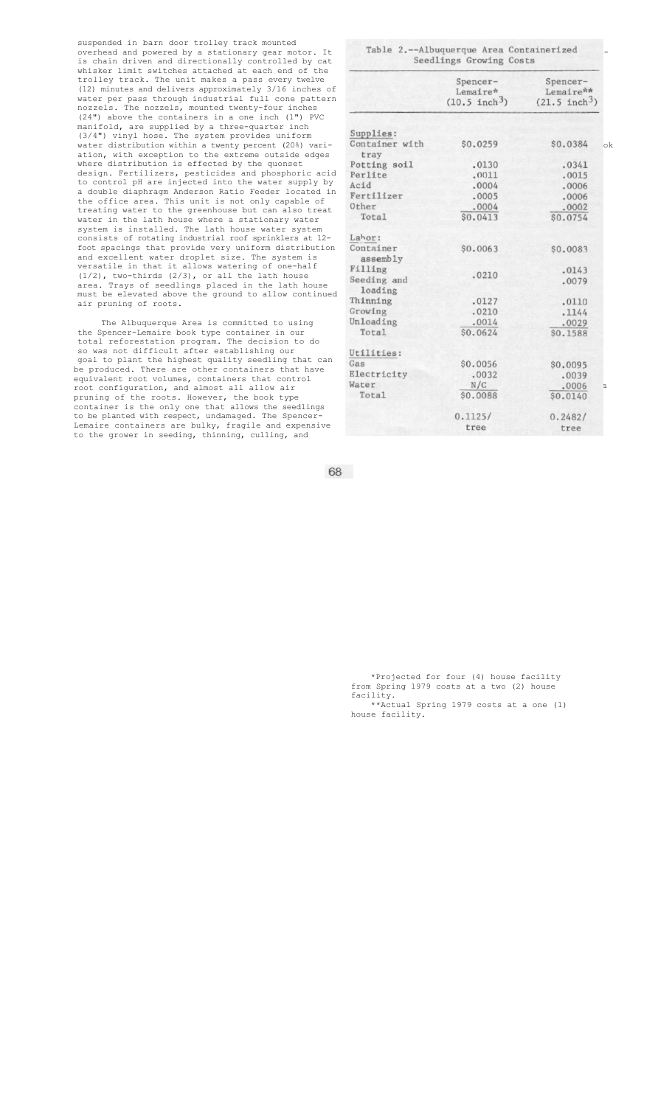suspended in barn door trolley track mounted overhead and powered by a stationary gear motor. It is chain driven and directionally controlled by cat whisker limit switches attached at each end of the trolley track. The unit makes a pass every twelve (12) minutes and delivers approximately 3/16 inches of water per pass through industrial full cone pattern nozzels. The nozzels, mounted twenty-four inches (24") above the containers in a one inch (1") PVC manifold, are supplied by a three-quarter inch (3/4") vinyl hose. The system provides uniform water distribution within a twenty percent (20%) variation, with exception to the extreme outside edges where distribution is effected by the quonset design. Fertilizers, pesticides and phosphoric acid to control pH are injected into the water supply by a double diaphragm Anderson Ratio Feeder located in the office area. This unit is not only capable of treating water to the greenhouse but can also treat water in the lath house where a stationary water system is installed. The lath house water system consists of rotating industrial roof sprinklers at 12 foot spacings that provide very uniform distribution and excellent water droplet size. The system is versatile in that it allows watering of one-half  $(1/2)$ , two-thirds  $(2/3)$ , or all the lath house area. Trays of seedlings placed in the lath house must be elevated above the ground to allow continued air pruning of roots.

The Albuquerque Area is committed to using the Spencer-Lemaire book type container in our total reforestation program. The decision to do so was not difficult after establishing our goal to plant the highest quality seedling that can be produced. There are other containers that have equivalent root volumes, containers that control root configuration, and almost all allow air pruning of the roots. However, the book type container is the only one that allows the seedlings to be planted with respect, undamaged. The Spencer-Lemaire containers are bulky, fragile and expensive to the grower in seeding, thinning, culling, and

|                       | Spencer-<br>Lemaire*<br>$(10.5 \text{ inch}^3)$ | Spencer-<br>Lemaire**<br>$(21.5 \text{ inch}^3)$ |
|-----------------------|-------------------------------------------------|--------------------------------------------------|
| Supplies:             |                                                 |                                                  |
| Container with        | \$0.0259                                        | \$0.0384                                         |
| tray                  |                                                 |                                                  |
| Potting soil          | .0130                                           | .0341                                            |
| Perlite               | .0011                                           | .0015                                            |
| Acid                  | .0004                                           | .0006                                            |
| Fertilizer            | .0005                                           | .0006                                            |
| Other                 | .0004                                           | .0002                                            |
| Total                 | \$0.0413                                        | \$0.0754                                         |
| Lahor:                |                                                 |                                                  |
| Container<br>assembly | \$0.0063                                        | \$0.0083                                         |
| Filling               |                                                 | .0143                                            |
| Seeding and           | .0210                                           | .0079                                            |
| loading               |                                                 |                                                  |
| Thinning              | .0127                                           | .0110                                            |
| Growing               | .0210                                           | .1144                                            |
| Unloading             | .0014                                           | .0029                                            |
| Total                 | \$0.0624                                        | \$0.1588                                         |
| Utilities:            |                                                 |                                                  |
| Gas                   | \$0.0056                                        | \$0.0095                                         |
| Electricity           | .0032                                           | .0039                                            |
| Water                 | N/C                                             | .0006                                            |
| Total                 | \$0.0088                                        | \$0.0140                                         |
|                       | 0.1125/                                         | 0.2482/                                          |
|                       | tree                                            | tree                                             |

68

\*Projected for four (4) house facility from Spring 1979 costs at a two (2) house facility. \*\*Actual Spring 1979 costs at a one (1)

house facility.